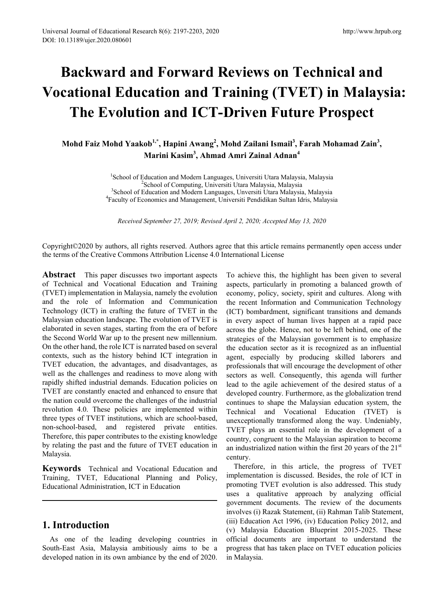# **Backward and Forward Reviews on Technical and Vocational Education and Training (TVET) in Malaysia: The Evolution and ICT-Driven Future Prospect**

**Mohd Faiz Mohd Yaakob1,\*, Hapini Awang2 , Mohd Zailani Ismail<sup>3</sup> , Farah Mohamad Zain<sup>3</sup> , Marini Kasim3 , Ahmad Amri Zainal Adnan<sup>4</sup>**

> <sup>1</sup>School of Education and Modern Languages, Universiti Utara Malaysia, Malaysia<sup>2</sup>School of Computing Universiti Utara Malaysia Malaysia School of Computing, Universiti Utara Malaysia, Malaysia<sup>3</sup><br><sup>3</sup>School of Education and Modern Languages, Universiti Utara Malaysia School of Education and Modern Languages, Unversiti Utara Malaysia, Malaysia<br><sup>4</sup>Eaculty of Economics and Management, Universiti Pendidikan Sultan Idris, Malaysia Faculty of Economics and Management, Universiti Pendidikan Sultan Idris, Malaysia

*Received September 27, 2019; Revised April 2, 2020; Accepted May 13, 2020*

Copyright©2020 by authors, all rights reserved. Authors agree that this article remains permanently open access under the terms of the Creative Commons Attribution License 4.0 International License

**Abstract** This paper discusses two important aspects of Technical and Vocational Education and Training (TVET) implementation in Malaysia, namely the evolution and the role of Information and Communication Technology (ICT) in crafting the future of TVET in the Malaysian education landscape. The evolution of TVET is elaborated in seven stages, starting from the era of before the Second World War up to the present new millennium. On the other hand, the role ICT is narrated based on several contexts, such as the history behind ICT integration in TVET education, the advantages, and disadvantages, as well as the challenges and readiness to move along with rapidly shifted industrial demands. Education policies on TVET are constantly enacted and enhanced to ensure that the nation could overcome the challenges of the industrial revolution 4.0. These policies are implemented within three types of TVET institutions, which are school-based, non-school-based, and registered private entities. Therefore, this paper contributes to the existing knowledge by relating the past and the future of TVET education in Malaysia.

**Keywords** Technical and Vocational Education and Training, TVET, Educational Planning and Policy, Educational Administration, ICT in Education

# **1. Introduction**

As one of the leading developing countries in South-East Asia, Malaysia ambitiously aims to be a developed nation in its own ambiance by the end of 2020. To achieve this, the highlight has been given to several aspects, particularly in promoting a balanced growth of economy, policy, society, spirit and cultures. Along with the recent Information and Communication Technology (ICT) bombardment, significant transitions and demands in every aspect of human lives happen at a rapid pace across the globe. Hence, not to be left behind, one of the strategies of the Malaysian government is to emphasize the education sector as it is recognized as an influential agent, especially by producing skilled laborers and professionals that will encourage the development of other sectors as well. Consequently, this agenda will further lead to the agile achievement of the desired status of a developed country. Furthermore, as the globalization trend continues to shape the Malaysian education system, the Technical and Vocational Education (TVET) is unexceptionally transformed along the way. Undeniably, TVET plays an essential role in the development of a country, congruent to the Malaysian aspiration to become an industrialized nation within the first 20 years of the  $21<sup>st</sup>$ century.

Therefore, in this article, the progress of TVET implementation is discussed. Besides, the role of ICT in promoting TVET evolution is also addressed. This study uses a qualitative approach by analyzing official government documents. The review of the documents involves (i) Razak Statement, (ii) Rahman Talib Statement, (iii) Education Act 1996, (iv) Education Policy 2012, and (v) Malaysia Education Blueprint 2015-2025. These official documents are important to understand the progress that has taken place on TVET education policies in Malaysia.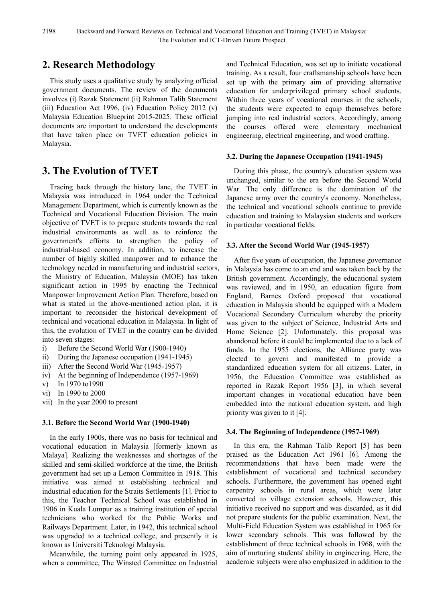# **2. Research Methodology**

This study uses a qualitative study by analyzing official government documents. The review of the documents involves (i) Razak Statement (ii) Rahman Talib Statement (iii) Education Act 1996, (iv) Education Policy 2012 (v) Malaysia Education Blueprint 2015-2025. These official documents are important to understand the developments that have taken place on TVET education policies in Malaysia.

# **3. The Evolution of TVET**

Tracing back through the history lane, the TVET in Malaysia was introduced in 1964 under the Technical Management Department, which is currently known as the Technical and Vocational Education Division. The main objective of TVET is to prepare students towards the real industrial environments as well as to reinforce the government's efforts to strengthen the policy of industrial-based economy. In addition, to increase the number of highly skilled manpower and to enhance the technology needed in manufacturing and industrial sectors, the Ministry of Education, Malaysia (MOE) has taken significant action in 1995 by enacting the Technical Manpower Improvement Action Plan. Therefore, based on what is stated in the above-mentioned action plan, it is important to reconsider the historical development of technical and vocational education in Malaysia. In light of this, the evolution of TVET in the country can be divided into seven stages:

- i) Before the Second World War (1900-1940)
- ii) During the Japanese occupation (1941-1945)
- iii) After the Second World War (1945-1957)
- iv) At the beginning of Independence (1957-1969)
- v) In 1970 to1990
- vi) In 1990 to 2000
- vii) In the year 2000 to present

#### **3.1. Before the Second World War (1900-1940)**

In the early 1900s, there was no basis for technical and vocational education in Malaysia [formerly known as Malaya]. Realizing the weaknesses and shortages of the skilled and semi-skilled workforce at the time, the British government had set up a Lemon Committee in 1918. This initiative was aimed at establishing technical and industrial education for the Straits Settlements [1]. Prior to this, the Teacher Technical School was established in 1906 in Kuala Lumpur as a training institution of special technicians who worked for the Public Works and Railways Department. Later, in 1942, this technical school was upgraded to a technical college, and presently it is known as Universiti Teknologi Malaysia.

Meanwhile, the turning point only appeared in 1925, when a committee, The Winsted Committee on Industrial and Technical Education, was set up to initiate vocational training. As a result, four craftsmanship schools have been set up with the primary aim of providing alternative education for underprivileged primary school students. Within three years of vocational courses in the schools, the students were expected to equip themselves before jumping into real industrial sectors. Accordingly, among the courses offered were elementary mechanical engineering, electrical engineering, and wood crafting.

#### **3.2. During the Japanese Occupation (1941-1945)**

During this phase, the country's education system was unchanged, similar to the era before the Second World War. The only difference is the domination of the Japanese army over the country's economy. Nonetheless, the technical and vocational schools continue to provide education and training to Malaysian students and workers in particular vocational fields.

### **3.3. After the Second World War (1945-1957)**

After five years of occupation, the Japanese governance in Malaysia has come to an end and was taken back by the British government. Accordingly, the educational system was reviewed, and in 1950, an education figure from England, Barnes Oxford proposed that vocational education in Malaysia should be equipped with a Modern Vocational Secondary Curriculum whereby the priority was given to the subject of Science, Industrial Arts and Home Science [2]. Unfortunately, this proposal was abandoned before it could be implemented due to a lack of funds. In the 1955 elections, the Alliance party was elected to govern and manifested to provide a standardized education system for all citizens. Later, in 1956, the Education Committee was established as reported in Razak Report 1956 [3], in which several important changes in vocational education have been embedded into the national education system, and high priority was given to it [4].

### **3.4. The Beginning of Independence (1957-1969)**

In this era, the Rahman Talib Report [5] has been praised as the Education Act 1961 [6]. Among the recommendations that have been made were the establishment of vocational and technical secondary schools. Furthermore, the government has opened eight carpentry schools in rural areas, which were later converted to village extension schools. However, this initiative received no support and was discarded, as it did not prepare students for the public examination. Next, the Multi-Field Education System was established in 1965 for lower secondary schools. This was followed by the establishment of three technical schools in 1968, with the aim of nurturing students' ability in engineering. Here, the academic subjects were also emphasized in addition to the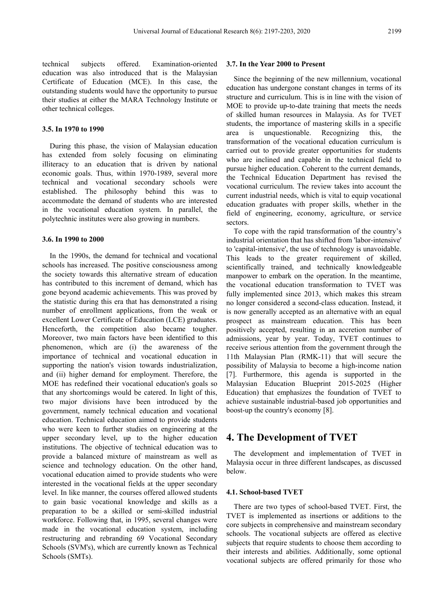technical subjects offered. Examination-oriented education was also introduced that is the Malaysian Certificate of Education (MCE). In this case, the outstanding students would have the opportunity to pursue their studies at either the MARA Technology Institute or other technical colleges.

#### **3.5. In 1970 to 1990**

During this phase, the vision of Malaysian education has extended from solely focusing on eliminating illiteracy to an education that is driven by national economic goals. Thus, within 1970-1989, several more technical and vocational secondary schools were established. The philosophy behind this was to accommodate the demand of students who are interested in the vocational education system. In parallel, the polytechnic institutes were also growing in numbers.

#### **3.6. In 1990 to 2000**

In the 1990s, the demand for technical and vocational schools has increased. The positive consciousness among the society towards this alternative stream of education has contributed to this increment of demand, which has gone beyond academic achievements. This was proved by the statistic during this era that has demonstrated a rising number of enrollment applications, from the weak or excellent Lower Certificate of Education (LCE) graduates. Henceforth, the competition also became tougher. Moreover, two main factors have been identified to this phenomenon, which are (i) the awareness of the importance of technical and vocational education in supporting the nation's vision towards industrialization, and (ii) higher demand for employment. Therefore, the MOE has redefined their vocational education's goals so that any shortcomings would be catered. In light of this, two major divisions have been introduced by the government, namely technical education and vocational education. Technical education aimed to provide students who were keen to further studies on engineering at the upper secondary level, up to the higher education institutions. The objective of technical education was to provide a balanced mixture of mainstream as well as science and technology education. On the other hand, vocational education aimed to provide students who were interested in the vocational fields at the upper secondary level. In like manner, the courses offered allowed students to gain basic vocational knowledge and skills as a preparation to be a skilled or semi-skilled industrial workforce. Following that, in 1995, several changes were made in the vocational education system, including restructuring and rebranding 69 Vocational Secondary Schools (SVM's), which are currently known as Technical Schools (SMTs).

#### **3.7. In the Year 2000 to Present**

Since the beginning of the new millennium, vocational education has undergone constant changes in terms of its structure and curriculum. This is in line with the vision of MOE to provide up-to-date training that meets the needs of skilled human resources in Malaysia. As for TVET students, the importance of mastering skills in a specific area is unquestionable. Recognizing this, the transformation of the vocational education curriculum is carried out to provide greater opportunities for students who are inclined and capable in the technical field to pursue higher education. Coherent to the current demands, the Technical Education Department has revised the vocational curriculum. The review takes into account the current industrial needs, which is vital to equip vocational education graduates with proper skills, whether in the field of engineering, economy, agriculture, or service sectors.

To cope with the rapid transformation of the country's industrial orientation that has shifted from 'labor-intensive' to 'capital-intensive', the use of technology is unavoidable. This leads to the greater requirement of skilled, scientifically trained, and technically knowledgeable manpower to embark on the operation. In the meantime, the vocational education transformation to TVET was fully implemented since 2013, which makes this stream no longer considered a second-class education. Instead, it is now generally accepted as an alternative with an equal prospect as mainstream education. This has been positively accepted, resulting in an accretion number of admissions, year by year. Today, TVET continues to receive serious attention from the government through the 11th Malaysian Plan (RMK-11) that will secure the possibility of Malaysia to become a high-income nation [7]. Furthermore, this agenda is supported in the Malaysian Education Blueprint 2015-2025 (Higher Education) that emphasizes the foundation of TVET to achieve sustainable industrial-based job opportunities and boost-up the country's economy [8].

### **4. The Development of TVET**

The development and implementation of TVET in Malaysia occur in three different landscapes, as discussed below.

#### **4.1. School-based TVET**

There are two types of school-based TVET. First, the TVET is implemented as insertions or additions to the core subjects in comprehensive and mainstream secondary schools. The vocational subjects are offered as elective subjects that require students to choose them according to their interests and abilities. Additionally, some optional vocational subjects are offered primarily for those who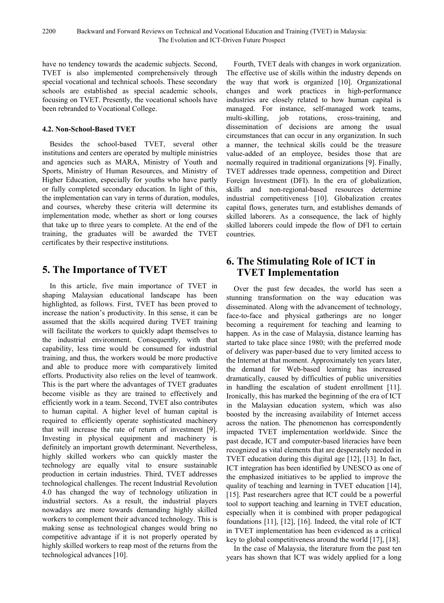have no tendency towards the academic subjects. Second, TVET is also implemented comprehensively through special vocational and technical schools. These secondary schools are established as special academic schools, focusing on TVET. Presently, the vocational schools have been rebranded to Vocational College.

#### **4.2. Non-School-Based TVET**

Besides the school-based TVET, several other institutions and centers are operated by multiple ministries and agencies such as MARA, Ministry of Youth and Sports, Ministry of Human Resources, and Ministry of Higher Education, especially for youths who have partly or fully completed secondary education. In light of this, the implementation can vary in terms of duration, modules, and courses, whereby these criteria will determine its implementation mode, whether as short or long courses that take up to three years to complete. At the end of the training, the graduates will be awarded the TVET certificates by their respective institutions.

# **5. The Importance of TVET**

In this article, five main importance of TVET in shaping Malaysian educational landscape has been highlighted, as follows. First, TVET has been proved to increase the nation's productivity. In this sense, it can be assumed that the skills acquired during TVET training will facilitate the workers to quickly adapt themselves to the industrial environment. Consequently, with that capability, less time would be consumed for industrial training, and thus, the workers would be more productive and able to produce more with comparatively limited efforts. Productivity also relies on the level of teamwork. This is the part where the advantages of TVET graduates become visible as they are trained to effectively and efficiently work in a team. Second, TVET also contributes to human capital. A higher level of human capital is required to efficiently operate sophisticated machinery that will increase the rate of return of investment [9]. Investing in physical equipment and machinery is definitely an important growth determinant. Nevertheless, highly skilled workers who can quickly master the technology are equally vital to ensure sustainable production in certain industries. Third, TVET addresses technological challenges. The recent Industrial Revolution 4.0 has changed the way of technology utilization in industrial sectors. As a result, the industrial players nowadays are more towards demanding highly skilled workers to complement their advanced technology. This is making sense as technological changes would bring no competitive advantage if it is not properly operated by highly skilled workers to reap most of the returns from the technological advances [10].

Fourth, TVET deals with changes in work organization. The effective use of skills within the industry depends on the way that work is organized [10]. Organizational changes and work practices in high-performance industries are closely related to how human capital is managed. For instance, self-managed work teams, multi-skilling, job rotations, cross-training, and dissemination of decisions are among the usual circumstances that can occur in any organization. In such a manner, the technical skills could be the treasure value-added of an employee, besides those that are normally required in traditional organizations [9]. Finally, TVET addresses trade openness, competition and Direct Foreign Investment (DFI). In the era of globalization, skills and non-regional-based resources determine industrial competitiveness [10]. Globalization creates capital flows, generates turn, and establishes demands of skilled laborers. As a consequence, the lack of highly skilled laborers could impede the flow of DFI to certain countries.

# **6. The Stimulating Role of ICT in TVET Implementation**

Over the past few decades, the world has seen a stunning transformation on the way education was disseminated. Along with the advancement of technology, face-to-face and physical gatherings are no longer becoming a requirement for teaching and learning to happen. As in the case of Malaysia, distance learning has started to take place since 1980; with the preferred mode of delivery was paper-based due to very limited access to the Internet at that moment. Approximately ten years later, the demand for Web-based learning has increased dramatically, caused by difficulties of public universities in handling the escalation of student enrollment [11]. Ironically, this has marked the beginning of the era of ICT in the Malaysian education system, which was also boosted by the increasing availability of Internet access across the nation. The phenomenon has correspondently impacted TVET implementation worldwide. Since the past decade, ICT and computer-based literacies have been recognized as vital elements that are desperately needed in TVET education during this digital age [12], [13]. In fact, ICT integration has been identified by UNESCO as one of the emphasized initiatives to be applied to improve the quality of teaching and learning in TVET education [14], [15]. Past researchers agree that ICT could be a powerful tool to support teaching and learning in TVET education, especially when it is combined with proper pedagogical foundations [11], [12], [16]. Indeed, the vital role of ICT in TVET implementation has been evidenced as a critical key to global competitiveness around the world [17], [18].

In the case of Malaysia, the literature from the past ten years has shown that ICT was widely applied for a long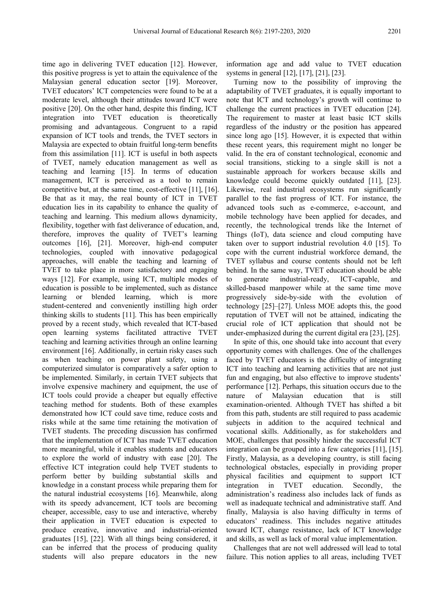time ago in delivering TVET education [12]. However, this positive progress is yet to attain the equivalence of the Malaysian general education sector [19]. Moreover, TVET educators' ICT competencies were found to be at a moderate level, although their attitudes toward ICT were positive [20]. On the other hand, despite this finding, ICT integration into TVET education is theoretically promising and advantageous. Congruent to a rapid expansion of ICT tools and trends, the TVET sectors in Malaysia are expected to obtain fruitful long-term benefits from this assimilation [11]. ICT is useful in both aspects of TVET, namely education management as well as teaching and learning [15]. In terms of education management, ICT is perceived as a tool to remain competitive but, at the same time, cost-effective [11], [16]. Be that as it may, the real bounty of ICT in TVET education lies in its capability to enhance the quality of teaching and learning. This medium allows dynamicity, flexibility, together with fast deliverance of education, and, therefore, improves the quality of TVET's learning outcomes [16], [21]. Moreover, high-end computer technologies, coupled with innovative pedagogical approaches, will enable the teaching and learning of TVET to take place in more satisfactory and engaging ways [12]. For example, using ICT, multiple modes of education is possible to be implemented, such as distance learning or blended learning, which is more student-centered and conveniently instilling high order thinking skills to students [11]. This has been empirically proved by a recent study, which revealed that ICT-based open learning systems facilitated attractive TVET teaching and learning activities through an online learning environment [16]. Additionally, in certain risky cases such as when teaching on power plant safety, using a computerized simulator is comparatively a safer option to be implemented. Similarly, in certain TVET subjects that involve expensive machinery and equipment, the use of ICT tools could provide a cheaper but equally effective teaching method for students. Both of these examples demonstrated how ICT could save time, reduce costs and risks while at the same time retaining the motivation of TVET students. The preceding discussion has confirmed that the implementation of ICT has made TVET education more meaningful, while it enables students and educators to explore the world of industry with ease [20]. The effective ICT integration could help TVET students to perform better by building substantial skills and knowledge in a constant process while preparing them for the natural industrial ecosystems [16]. Meanwhile, along with its speedy advancement, ICT tools are becoming cheaper, accessible, easy to use and interactive, whereby their application in TVET education is expected to produce creative, innovative and industrial-oriented graduates [15], [22]. With all things being considered, it can be inferred that the process of producing quality students will also prepare educators in the new

information age and add value to TVET education systems in general [12], [17], [21], [23].

Turning now to the possibility of improving the adaptability of TVET graduates, it is equally important to note that ICT and technology's growth will continue to challenge the current practices in TVET education [24]. The requirement to master at least basic ICT skills regardless of the industry or the position has appeared since long ago [15]. However, it is expected that within these recent years, this requirement might no longer be valid. In the era of constant technological, economic and social transitions, sticking to a single skill is not a sustainable approach for workers because skills and knowledge could become quickly outdated [11], [23]. Likewise, real industrial ecosystems run significantly parallel to the fast progress of ICT. For instance, the advanced tools such as e-commerce, e-account, and mobile technology have been applied for decades, and recently, the technological trends like the Internet of Things (IoT), data science and cloud computing have taken over to support industrial revolution 4.0 [15]. To cope with the current industrial workforce demand, the TVET syllabus and course contents should not be left behind. In the same way, TVET education should be able to generate industrial-ready, ICT-capable, and skilled-based manpower while at the same time move progressively side-by-side with the evolution of technology [25]–[27]. Unless MOE adopts this, the good reputation of TVET will not be attained, indicating the crucial role of ICT application that should not be under-emphasized during the current digital era [23], [25].

In spite of this, one should take into account that every opportunity comes with challenges. One of the challenges faced by TVET educators is the difficulty of integrating ICT into teaching and learning activities that are not just fun and engaging, but also effective to improve students' performance [12]. Perhaps, this situation occurs due to the nature of Malaysian education that is still examination-oriented. Although TVET has shifted a bit from this path, students are still required to pass academic subjects in addition to the acquired technical and vocational skills. Additionally, as for stakeholders and MOE, challenges that possibly hinder the successful ICT integration can be grouped into a few categories [11], [15]. Firstly, Malaysia, as a developing country, is still facing technological obstacles, especially in providing proper physical facilities and equipment to support ICT integration in TVET education. Secondly, the administration's readiness also includes lack of funds as well as inadequate technical and administrative staff. And finally, Malaysia is also having difficulty in terms of educators' readiness. This includes negative attitudes toward ICT, change resistance, lack of ICT knowledge and skills, as well as lack of moral value implementation.

Challenges that are not well addressed will lead to total failure. This notion applies to all areas, including TVET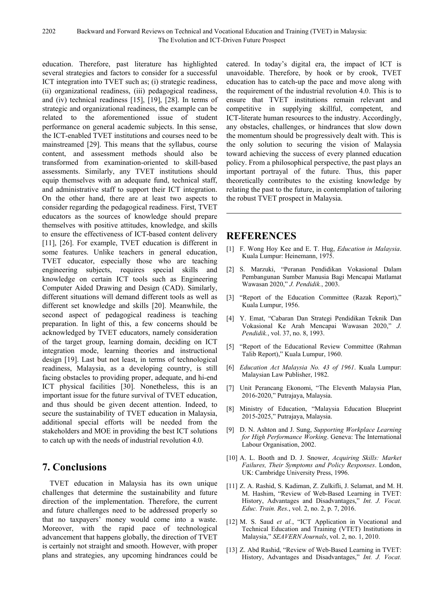education. Therefore, past literature has highlighted several strategies and factors to consider for a successful ICT integration into TVET such as; (i) strategic readiness, (ii) organizational readiness, (iii) pedagogical readiness, and (iv) technical readiness [15], [19], [28]. In terms of strategic and organizational readiness, the example can be related to the aforementioned issue of student performance on general academic subjects. In this sense, the ICT-enabled TVET institutions and courses need to be mainstreamed [29]. This means that the syllabus, course content, and assessment methods should also be transformed from examination-oriented to skill-based assessments. Similarly, any TVET institutions should equip themselves with an adequate fund, technical staff, and administrative staff to support their ICT integration. On the other hand, there are at least two aspects to consider regarding the pedagogical readiness. First, TVET educators as the sources of knowledge should prepare themselves with positive attitudes, knowledge, and skills to ensure the effectiveness of ICT-based content delivery [11], [26]. For example, TVET education is different in some features. Unlike teachers in general education, TVET educator, especially those who are teaching engineering subjects, requires special skills and knowledge on certain ICT tools such as Engineering Computer Aided Drawing and Design (CAD). Similarly, different situations will demand different tools as well as different set knowledge and skills [20]. Meanwhile, the second aspect of pedagogical readiness is teaching preparation. In light of this, a few concerns should be acknowledged by TVET educators, namely consideration of the target group, learning domain, deciding on ICT integration mode, learning theories and instructional design [19]. Last but not least, in terms of technological readiness, Malaysia, as a developing country, is still facing obstacles to providing proper, adequate, and hi-end ICT physical facilities [30]. Nonetheless, this is an important issue for the future survival of TVET education, and thus should be given decent attention. Indeed, to secure the sustainability of TVET education in Malaysia, additional special efforts will be needed from the stakeholders and MOE in providing the best ICT solutions to catch up with the needs of industrial revolution 4.0.

# **7. Conclusions**

TVET education in Malaysia has its own unique challenges that determine the sustainability and future direction of the implementation. Therefore, the current and future challenges need to be addressed properly so that no taxpayers' money would come into a waste. Moreover, with the rapid pace of technological advancement that happens globally, the direction of TVET is certainly not straight and smooth. However, with proper plans and strategies, any upcoming hindrances could be

catered. In today's digital era, the impact of ICT is unavoidable. Therefore, by hook or by crook, TVET education has to catch-up the pace and move along with the requirement of the industrial revolution 4.0. This is to ensure that TVET institutions remain relevant and competitive in supplying skillful, competent, and ICT-literate human resources to the industry. Accordingly, any obstacles, challenges, or hindrances that slow down the momentum should be progressively dealt with. This is the only solution to securing the vision of Malaysia toward achieving the success of every planned education policy. From a philosophical perspective, the past plays an important portrayal of the future. Thus, this paper theoretically contributes to the existing knowledge by relating the past to the future, in contemplation of tailoring the robust TVET prospect in Malaysia.

### **REFERENCES**

- [1] F. Wong Hoy Kee and E. T. Hug, *Education in Malaysia*. Kuala Lumpur: Heinemann, 1975.
- [2] S. Marzuki, "Peranan Pendidikan Vokasional Dalam Pembangunan Sumber Manusia Bagi Mencapai Matlamat Wawasan 2020," *J. Pendidik.*, 2003.
- [3] "Report of the Education Committee (Razak Report)," Kuala Lumpur, 1956.
- [4] Y. Emat, "Cabaran Dan Strategi Pendidikan Teknik Dan Vokasional Ke Arah Mencapai Wawasan 2020," *J. Pendidik.*, vol. 37, no. 8, 1993.
- [5] "Report of the Educational Review Committee (Rahman Talib Report)," Kuala Lumpur, 1960.
- [6] *Education Act Malaysia No. 43 of 1961*. Kuala Lumpur: Malaysian Law Publisher, 1982.
- [7] Unit Perancang Ekonomi, "The Eleventh Malaysia Plan, 2016-2020," Putrajaya, Malaysia.
- [8] Ministry of Education, "Malaysia Education Blueprint 2015-2025," Putrajaya, Malaysia.
- [9] D. N. Ashton and J. Sung, *Supporting Workplace Learning for High Performance Working*. Geneva: The International Labour Organisation, 2002.
- [10] A. L. Booth and D. J. Snower, *Acquiring Skills: Market Failures, Their Symptoms and Policy Responses*. London, UK: Cambridge University Press, 1996.
- [11] Z. A. Rashid, S. Kadiman, Z. Zulkifli, J. Selamat, and M. H. M. Hashim, "Review of Web-Based Learning in TVET: History, Advantages and Disadvantages," *Int. J. Vocat. Educ. Train. Res.*, vol. 2, no. 2, p. 7, 2016.
- [12] M. S. Saud et al., "ICT Application in Vocational and Technical Education and Training (VTET) Institutions in Malaysia," *SEAVERN Journals*, vol. 2, no. 1, 2010.
- [13] Z. Abd Rashid, "Review of Web-Based Learning in TVET: History, Advantages and Disadvantages," *Int. J. Vocat.*